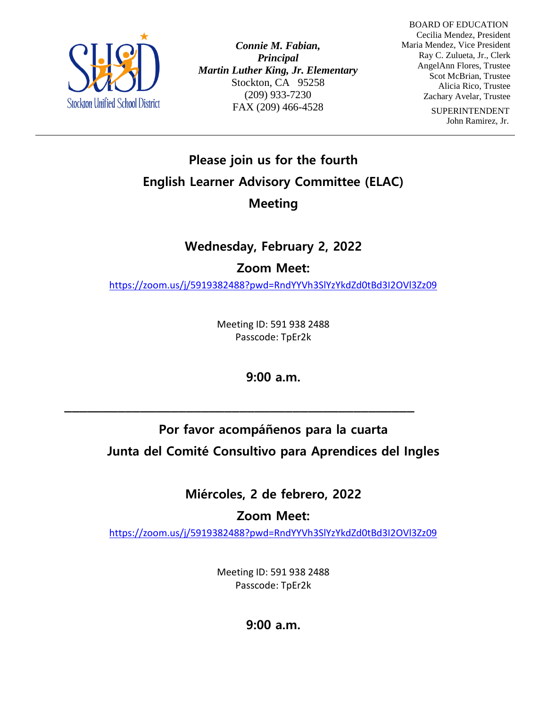

*Connie M. Fabian, Principal Martin Luther King, Jr. Elementary* Stockton, CA 95258 (209) 933-7230 FAX (209) 466-4528

 BOARD OF EDUCATION Cecilia Mendez, President Maria Mendez, Vice President Ray C. Zulueta, Jr., Clerk AngelAnn Flores, Trustee Scot McBrian, Trustee Alicia Rico, Trustee Zachary Avelar, Trustee

> SUPERINTENDENT John Ramirez, Jr.

## **Please join us for the fourth English Learner Advisory Committee (ELAC) Meeting**

## **Wednesday, February 2, 2022**

### **Zoom Meet:**

<https://zoom.us/j/5919382488?pwd=RndYYVh3SlYzYkdZd0tBd3I2OVl3Zz09>

Meeting ID: 591 938 2488 Passcode: TpEr2k

**9:00 a.m.** 

**\_\_\_\_\_\_\_\_\_\_\_\_\_\_\_\_\_\_\_\_\_\_\_\_\_\_\_\_\_\_\_\_\_\_\_\_\_\_\_\_\_\_\_\_\_\_**

# **Por favor acompáñenos para la cuarta Junta del Comité Consultivo para Aprendices del Ingles**

**Miércoles, 2 de febrero, 2022**

**Zoom Meet:** 

<https://zoom.us/j/5919382488?pwd=RndYYVh3SlYzYkdZd0tBd3I2OVl3Zz09>

Meeting ID: 591 938 2488 Passcode: TpEr2k

**9:00 a.m.**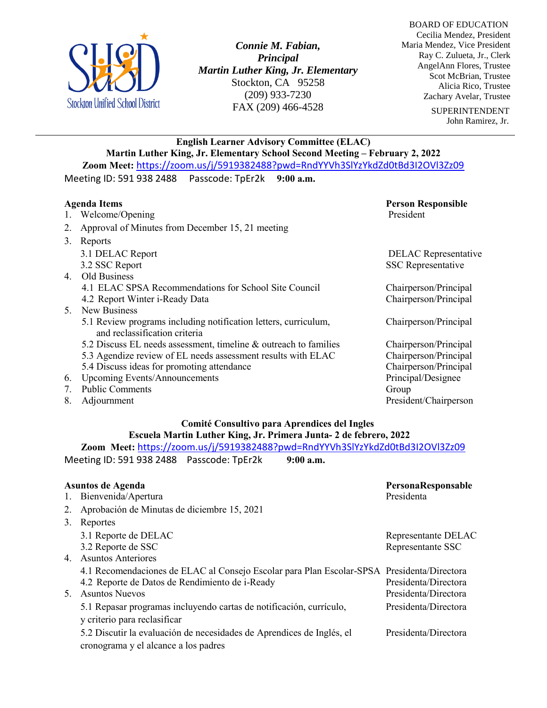

*Connie M. Fabian, Principal Martin Luther King, Jr. Elementary* Stockton, CA 95258 (209) 933-7230 FAX (209) 466-4528

 BOARD OF EDUCATION Cecilia Mendez, President Maria Mendez, Vice President Ray C. Zulueta, Jr., Clerk AngelAnn Flores, Trustee Scot McBrian, Trustee Alicia Rico, Trustee Zachary Avelar, Trustee

> SUPERINTENDENT John Ramirez, Jr.

#### **English Learner Advisory Committee (ELAC)**

**Martin Luther King, Jr. Elementary School Second Meeting - February 2, 2022 Zoom Meet:** <https://zoom.us/j/5919382488?pwd=RndYYVh3SlYzYkdZd0tBd3I2OVl3Zz09> Meeting ID: 591 938 2488 Passcode: TpEr2k **9:00 a.m.**

| <b>Agenda Items</b> |                                                                                                  | <b>Person Responsible</b>   |
|---------------------|--------------------------------------------------------------------------------------------------|-----------------------------|
| 1.                  | Welcome/Opening                                                                                  | President                   |
| 2.                  | Approval of Minutes from December 15, 21 meeting                                                 |                             |
| 3.                  | Reports                                                                                          |                             |
|                     | 3.1 DELAC Report                                                                                 | <b>DELAC</b> Representative |
|                     | 3.2 SSC Report                                                                                   | <b>SSC</b> Representative   |
| 4.                  | Old Business                                                                                     |                             |
|                     | 4.1 ELAC SPSA Recommendations for School Site Council                                            | Chairperson/Principal       |
|                     | 4.2 Report Winter i-Ready Data                                                                   | Chairperson/Principal       |
|                     | 5. New Business                                                                                  |                             |
|                     | 5.1 Review programs including notification letters, curriculum,<br>and reclassification criteria | Chairperson/Principal       |
|                     | 5.2 Discuss EL needs assessment, timeline & outreach to families                                 | Chairperson/Principal       |
|                     | 5.3 Agendize review of EL needs assessment results with ELAC                                     | Chairperson/Principal       |
|                     | 5.4 Discuss ideas for promoting attendance                                                       | Chairperson/Principal       |
| 6.                  | Upcoming Events/Announcements                                                                    | Principal/Designee          |
| 7.                  | <b>Public Comments</b>                                                                           | Group                       |
| 8.                  | Adjournment                                                                                      | President/Chairperson       |

### **Comité Consultivo para Aprendices del Ingles Escuela Martin Luther King, Jr. Primera Junta- 2 de febrero, 2022**

**Zoom Meet:** <https://zoom.us/j/5919382488?pwd=RndYYVh3SlYzYkdZd0tBd3I2OVl3Zz09> Meeting ID: 591 938 2488 Passcode: TpEr2k **9:00 a.m.**

|    | Asuntos de Agenda                                                                          | PersonaResponsable   |
|----|--------------------------------------------------------------------------------------------|----------------------|
|    | 1. Bienvenida/Apertura                                                                     | Presidenta           |
| 2. | Aprobación de Minutas de diciembre 15, 2021                                                |                      |
| 3. | Reportes                                                                                   |                      |
|    | 3.1 Reporte de DELAC                                                                       | Representante DELAC  |
|    | 3.2 Reporte de SSC                                                                         | Representante SSC    |
|    | 4. Asuntos Anteriores                                                                      |                      |
|    | 4.1 Recomendaciones de ELAC al Consejo Escolar para Plan Escolar-SPSA Presidenta/Directora |                      |
|    | 4.2 Reporte de Datos de Rendimiento de i-Ready                                             | Presidenta/Directora |
| 5. | <b>Asuntos Nuevos</b>                                                                      | Presidenta/Directora |
|    | 5.1 Repasar programas incluyendo cartas de notificación, currículo,                        | Presidenta/Directora |
|    | y criterio para reclasificar                                                               |                      |
|    | 5.2 Discutir la evaluación de necesidades de Aprendices de Inglés, el                      | Presidenta/Directora |
|    | cronograma y el alcance a los padres                                                       |                      |